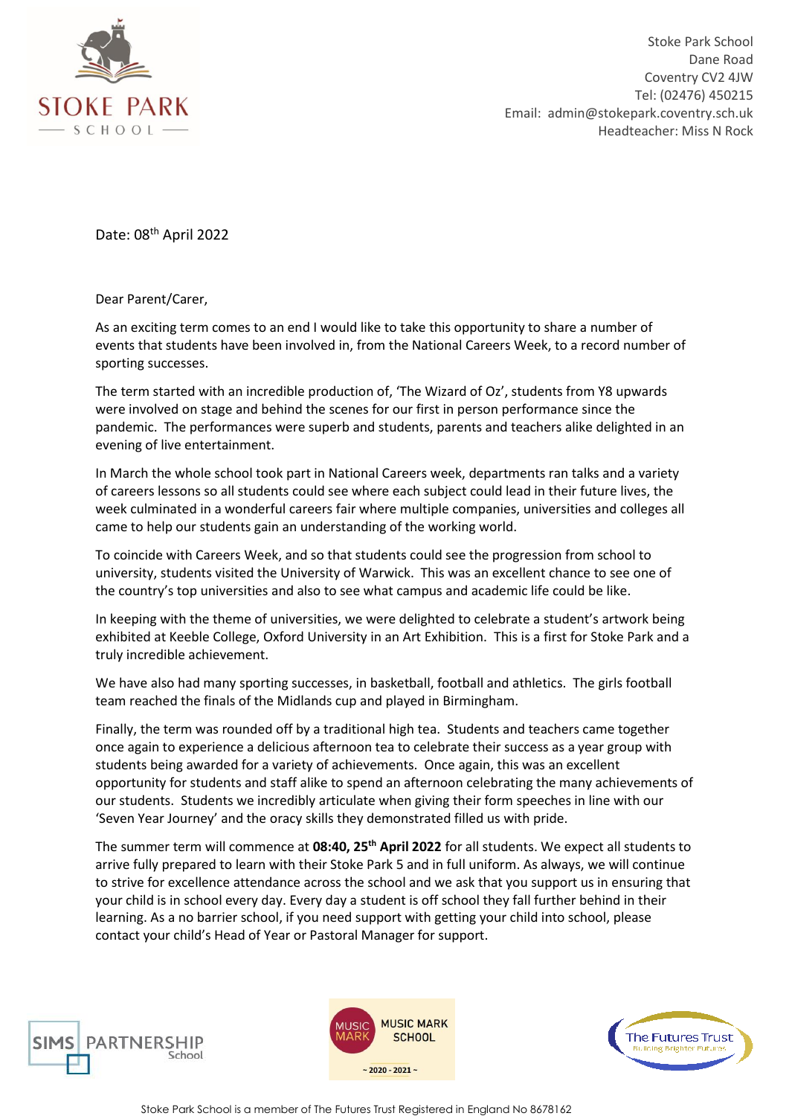

Stoke Park School Dane Road Coventry CV2 4JW Tel: (02476) 450215 Email: admin@stokepark.coventry.sch.uk Headteacher: Miss N Rock

Date: 08<sup>th</sup> April 2022

Dear Parent/Carer,

As an exciting term comes to an end I would like to take this opportunity to share a number of events that students have been involved in, from the National Careers Week, to a record number of sporting successes.

The term started with an incredible production of, 'The Wizard of Oz', students from Y8 upwards were involved on stage and behind the scenes for our first in person performance since the pandemic. The performances were superb and students, parents and teachers alike delighted in an evening of live entertainment.

In March the whole school took part in National Careers week, departments ran talks and a variety of careers lessons so all students could see where each subject could lead in their future lives, the week culminated in a wonderful careers fair where multiple companies, universities and colleges all came to help our students gain an understanding of the working world.

To coincide with Careers Week, and so that students could see the progression from school to university, students visited the University of Warwick. This was an excellent chance to see one of the country's top universities and also to see what campus and academic life could be like.

In keeping with the theme of universities, we were delighted to celebrate a student's artwork being exhibited at Keeble College, Oxford University in an Art Exhibition. This is a first for Stoke Park and a truly incredible achievement.

We have also had many sporting successes, in basketball, football and athletics. The girls football team reached the finals of the Midlands cup and played in Birmingham.

Finally, the term was rounded off by a traditional high tea. Students and teachers came together once again to experience a delicious afternoon tea to celebrate their success as a year group with students being awarded for a variety of achievements. Once again, this was an excellent opportunity for students and staff alike to spend an afternoon celebrating the many achievements of our students. Students we incredibly articulate when giving their form speeches in line with our 'Seven Year Journey' and the oracy skills they demonstrated filled us with pride.

The summer term will commence at **08:40, 25th April 2022** for all students. We expect all students to arrive fully prepared to learn with their Stoke Park 5 and in full uniform. As always, we will continue to strive for excellence attendance across the school and we ask that you support us in ensuring that your child is in school every day. Every day a student is off school they fall further behind in their learning. As a no barrier school, if you need support with getting your child into school, please contact your child's Head of Year or Pastoral Manager for support.